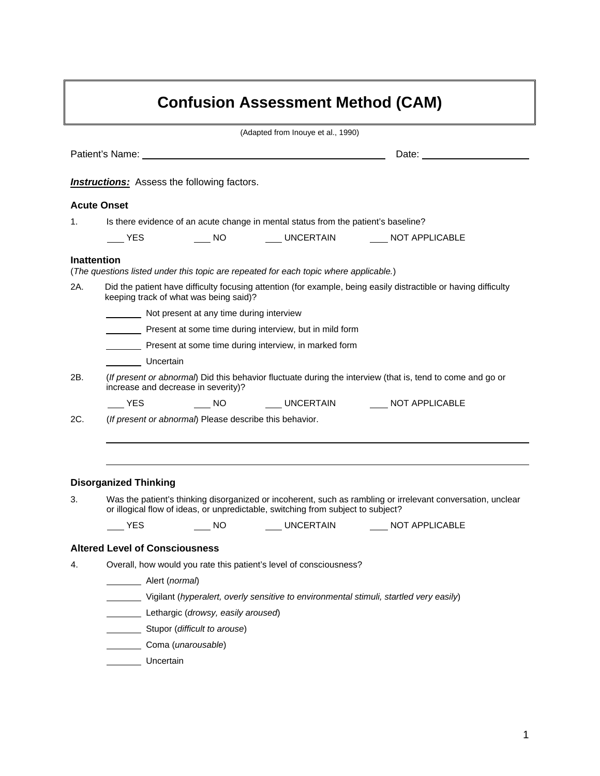| <b>Confusion Assessment Method (CAM)</b> |                                                                                                                                                                                                 |                                                         |                                                                                       |                                                                                                                 |  |  |  |
|------------------------------------------|-------------------------------------------------------------------------------------------------------------------------------------------------------------------------------------------------|---------------------------------------------------------|---------------------------------------------------------------------------------------|-----------------------------------------------------------------------------------------------------------------|--|--|--|
|                                          |                                                                                                                                                                                                 |                                                         | (Adapted from Inouye et al., 1990)                                                    |                                                                                                                 |  |  |  |
|                                          |                                                                                                                                                                                                 |                                                         |                                                                                       |                                                                                                                 |  |  |  |
|                                          |                                                                                                                                                                                                 | <b>Instructions:</b> Assess the following factors.      |                                                                                       |                                                                                                                 |  |  |  |
|                                          | <b>Acute Onset</b>                                                                                                                                                                              |                                                         |                                                                                       |                                                                                                                 |  |  |  |
| 1.                                       | Is there evidence of an acute change in mental status from the patient's baseline?                                                                                                              |                                                         |                                                                                       |                                                                                                                 |  |  |  |
|                                          | $\rule{1em}{0.15mm}$ YES                                                                                                                                                                        |                                                         |                                                                                       | _____ NO ________ UNCERTAIN ________ NOT APPLICABLE                                                             |  |  |  |
| 2A.                                      | <b>Inattention</b>                                                                                                                                                                              |                                                         | (The questions listed under this topic are repeated for each topic where applicable.) | Did the patient have difficulty focusing attention (for example, being easily distractible or having difficulty |  |  |  |
|                                          | keeping track of what was being said)?                                                                                                                                                          |                                                         |                                                                                       |                                                                                                                 |  |  |  |
|                                          | Not present at any time during interview                                                                                                                                                        |                                                         |                                                                                       |                                                                                                                 |  |  |  |
|                                          | Present at some time during interview, but in mild form                                                                                                                                         |                                                         |                                                                                       |                                                                                                                 |  |  |  |
|                                          | Present at some time during interview, in marked form                                                                                                                                           |                                                         |                                                                                       |                                                                                                                 |  |  |  |
|                                          | Uncertain                                                                                                                                                                                       |                                                         |                                                                                       |                                                                                                                 |  |  |  |
| 2B.                                      | (If present or abnormal) Did this behavior fluctuate during the interview (that is, tend to come and go or<br>increase and decrease in severity)?                                               |                                                         |                                                                                       |                                                                                                                 |  |  |  |
|                                          | <b>YES</b>                                                                                                                                                                                      |                                                         |                                                                                       | _____ NO ________ UNCERTAIN ________ NOT APPLICABLE                                                             |  |  |  |
| 2C.                                      |                                                                                                                                                                                                 | (If present or abnormal) Please describe this behavior. |                                                                                       |                                                                                                                 |  |  |  |
|                                          | <b>Disorganized Thinking</b>                                                                                                                                                                    |                                                         |                                                                                       |                                                                                                                 |  |  |  |
| З.                                       | Was the patient's thinking disorganized or incoherent, such as rambling or irrelevant conversation, unclear<br>or illogical flow of ideas, or unpredictable, switching from subject to subject? |                                                         |                                                                                       |                                                                                                                 |  |  |  |
|                                          | YES                                                                                                                                                                                             | NO <sub>1</sub>                                         | __ UNCERTAIN                                                                          | NOT APPLICABLE                                                                                                  |  |  |  |
|                                          | <b>Altered Level of Consciousness</b>                                                                                                                                                           |                                                         |                                                                                       |                                                                                                                 |  |  |  |
| 4.                                       | Overall, how would you rate this patient's level of consciousness?                                                                                                                              |                                                         |                                                                                       |                                                                                                                 |  |  |  |
|                                          | Alert (normal)                                                                                                                                                                                  |                                                         |                                                                                       |                                                                                                                 |  |  |  |
|                                          | Vigilant (hyperalert, overly sensitive to environmental stimuli, startled very easily)                                                                                                          |                                                         |                                                                                       |                                                                                                                 |  |  |  |
|                                          |                                                                                                                                                                                                 | Lethargic (drowsy, easily aroused)                      |                                                                                       |                                                                                                                 |  |  |  |
|                                          |                                                                                                                                                                                                 | Stupor (difficult to arouse)                            |                                                                                       |                                                                                                                 |  |  |  |
|                                          | Coma (unarousable)                                                                                                                                                                              |                                                         |                                                                                       |                                                                                                                 |  |  |  |
|                                          | Uncertain                                                                                                                                                                                       |                                                         |                                                                                       |                                                                                                                 |  |  |  |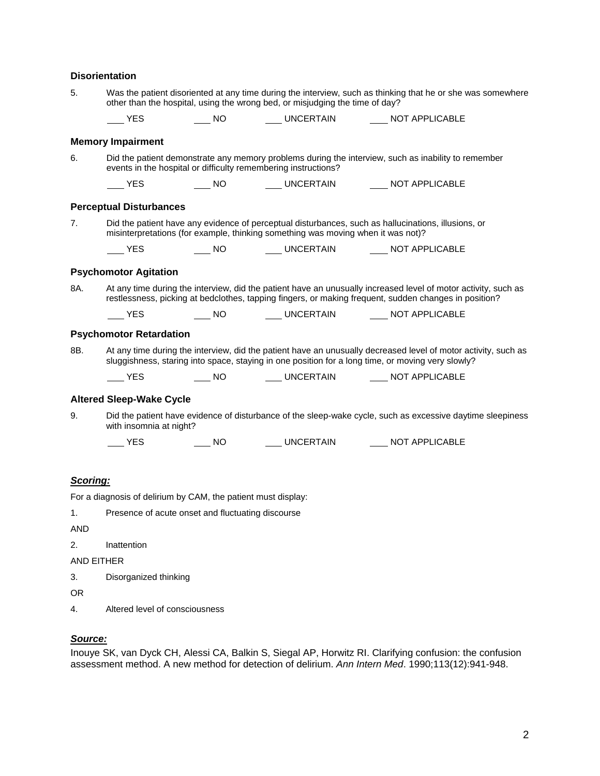## **Disorientation**

| 5.                | Was the patient disoriented at any time during the interview, such as thinking that he or she was somewhere<br>other than the hospital, using the wrong bed, or misjudging the time of day?                             |                                                               |  |                                                      |  |  |
|-------------------|-------------------------------------------------------------------------------------------------------------------------------------------------------------------------------------------------------------------------|---------------------------------------------------------------|--|------------------------------------------------------|--|--|
|                   | <b>YES</b>                                                                                                                                                                                                              |                                                               |  | ____ NO _______ UNCERTAIN _______ NOT APPLICABLE     |  |  |
|                   | <b>Memory Impairment</b>                                                                                                                                                                                                |                                                               |  |                                                      |  |  |
| 6.                | Did the patient demonstrate any memory problems during the interview, such as inability to remember<br>events in the hospital or difficulty remembering instructions?                                                   |                                                               |  |                                                      |  |  |
|                   | $\rule{1em}{0.15mm}$ YES                                                                                                                                                                                                |                                                               |  | ____ NO _______ UNCERTAIN _______ NOT APPLICABLE     |  |  |
|                   | <b>Perceptual Disturbances</b>                                                                                                                                                                                          |                                                               |  |                                                      |  |  |
| 7.                | Did the patient have any evidence of perceptual disturbances, such as hallucinations, illusions, or<br>misinterpretations (for example, thinking something was moving when it was not)?                                 |                                                               |  |                                                      |  |  |
|                   | <b>YES</b>                                                                                                                                                                                                              |                                                               |  | _____ NO ________ UNCERTAIN ________ NOT APPLICABLE  |  |  |
|                   | <b>Psychomotor Agitation</b>                                                                                                                                                                                            |                                                               |  |                                                      |  |  |
| 8A.               | At any time during the interview, did the patient have an unusually increased level of motor activity, such as<br>restlessness, picking at bedclothes, tapping fingers, or making frequent, sudden changes in position? |                                                               |  |                                                      |  |  |
|                   | $\rule{1em}{0.15mm}$ YES                                                                                                                                                                                                |                                                               |  | _____ NO ________ UNCERTAIN ________ NOT APPLICABLE  |  |  |
|                   | <b>Psychomotor Retardation</b>                                                                                                                                                                                          |                                                               |  |                                                      |  |  |
| 8B.               | At any time during the interview, did the patient have an unusually decreased level of motor activity, such as<br>sluggishness, staring into space, staying in one position for a long time, or moving very slowly?     |                                                               |  |                                                      |  |  |
|                   | $\mathsf{L}$ YES                                                                                                                                                                                                        |                                                               |  | NO UNCERTAIN _____ NOT APPLICABLE                    |  |  |
|                   | <b>Altered Sleep-Wake Cycle</b>                                                                                                                                                                                         |                                                               |  |                                                      |  |  |
| 9.                | Did the patient have evidence of disturbance of the sleep-wake cycle, such as excessive daytime sleepiness<br>with insomnia at night?                                                                                   |                                                               |  |                                                      |  |  |
|                   | <b>YES</b>                                                                                                                                                                                                              |                                                               |  | _____ NO ________ UNCERTAIN _________ NOT APPLICABLE |  |  |
|                   |                                                                                                                                                                                                                         |                                                               |  |                                                      |  |  |
| Scoring:          |                                                                                                                                                                                                                         |                                                               |  |                                                      |  |  |
|                   |                                                                                                                                                                                                                         | For a diagnosis of delirium by CAM, the patient must display: |  |                                                      |  |  |
| 1.                |                                                                                                                                                                                                                         | Presence of acute onset and fluctuating discourse             |  |                                                      |  |  |
| <b>AND</b>        |                                                                                                                                                                                                                         |                                                               |  |                                                      |  |  |
| 2.                | Inattention                                                                                                                                                                                                             |                                                               |  |                                                      |  |  |
| <b>AND EITHER</b> |                                                                                                                                                                                                                         |                                                               |  |                                                      |  |  |
| 3.                | Disorganized thinking                                                                                                                                                                                                   |                                                               |  |                                                      |  |  |
| <b>OR</b>         |                                                                                                                                                                                                                         |                                                               |  |                                                      |  |  |
| 4.                | Altered level of consciousness                                                                                                                                                                                          |                                                               |  |                                                      |  |  |

*Source:* 

Inouye SK, van Dyck CH, Alessi CA, Balkin S, Siegal AP, Horwitz RI. Clarifying confusion: the confusion assessment method. A new method for detection of delirium. *Ann Intern Med*. 1990;113(12):941-948.